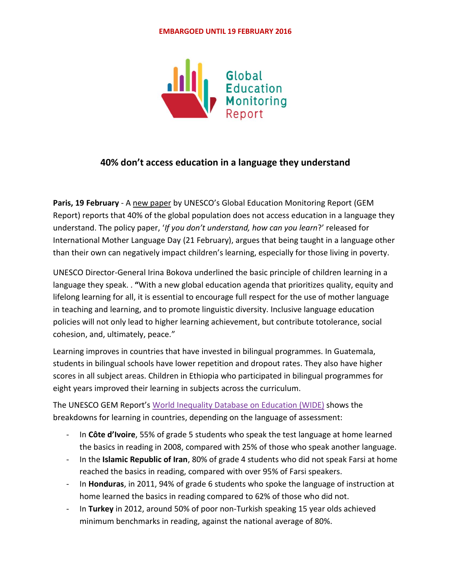#### **EMBARGOED UNTIL 19 FEBRUARY 2016**



## **40% don't access education in a language they understand**

**Paris, 19 February** - A [new paper](https://bit.ly/MLD2016) by UNESCO's Global Education Monitoring Report (GEM Report) reports that 40% of the global population does not access education in a language they understand. The policy paper, '*If you don't understand, how can you learn*?' released for International Mother Language Day (21 February), argues that being taught in a language other than their own can negatively impact children's learning, especially for those living in poverty.

UNESCO Director-General Irina Bokova underlined the basic principle of children learning in a language they speak. . **"**With a new global education agenda that prioritizes quality, equity and lifelong learning for all, it is essential to encourage full respect for the use of mother language in teaching and learning, and to promote linguistic diversity. Inclusive language education policies will not only lead to higher learning achievement, but contribute totolerance, social cohesion, and, ultimately, peace."

Learning improves in countries that have invested in bilingual programmes. In Guatemala, students in bilingual schools have lower repetition and dropout rates. They also have higher scores in all subject areas. Children in Ethiopia who participated in bilingual programmes for eight years improved their learning in subjects across the curriculum.

The UNESCO GEM Report's World [Inequality](http://www.education-inequalities.org/) Database on Education (WIDE) shows the breakdowns for learning in countries, depending on the language of assessment:

- In **Côte d'Ivoire**, 55% of grade 5 students who speak the test language at home learned the basics in reading in 2008, compared with 25% of those who speak another language.
- In the **Islamic Republic of Iran**, 80% of grade 4 students who did not speak Farsi at home reached the basics in reading, compared with over 95% of Farsi speakers.
- In **Honduras**, in 2011, 94% of grade 6 students who spoke the language of instruction at home learned the basics in reading compared to 62% of those who did not.
- In **Turkey** in 2012, around 50% of poor non-Turkish speaking 15 year olds achieved minimum benchmarks in reading, against the national average of 80%.